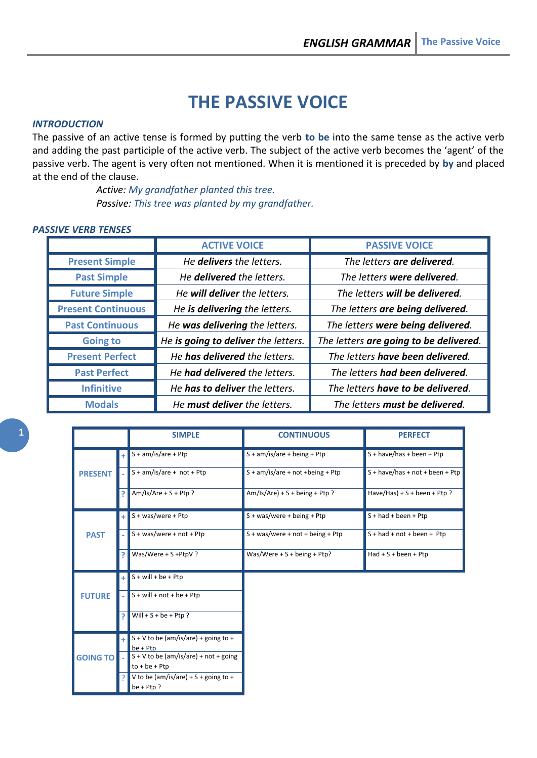# **THE PASSIVE VOICE**

#### *INTRODUCTION*

The passive of an active tense is formed by putting the verb **to be** into the same tense as the active verb and adding the past participle of the active verb. The subject of the active verb becomes the 'agent' of the passive verb. The agent is very often not mentioned. When it is mentioned it is preceded by **by** and placed at the end of the clause.

> *Active: My grandfather planted this tree. Passive: This tree was planted by my grandfather.*

#### *PASSIVE VERB TENSES*

|                           | <b>ACTIVE VOICE</b>                  | <b>PASSIVE VOICE</b>                   |
|---------------------------|--------------------------------------|----------------------------------------|
| <b>Present Simple</b>     | He delivers the letters.             | The letters are delivered.             |
| <b>Past Simple</b>        | He delivered the letters.            | The letters were delivered.            |
| <b>Future Simple</b>      | He will deliver the letters.         | The letters will be delivered.         |
| <b>Present Continuous</b> | He is delivering the letters.        | The letters are being delivered.       |
| <b>Past Continuous</b>    | He was delivering the letters.       | The letters were being delivered.      |
| <b>Going to</b>           | He is going to deliver the letters.  | The letters are going to be delivered. |
| <b>Present Perfect</b>    | He has delivered the letters.        | The letters have been delivered.       |
| <b>Past Perfect</b>       | He <b>had delivered</b> the letters. | The letters had been delivered.        |
| <b>Infinitive</b>         | He has to deliver the letters.       | The letters have to be delivered.      |
| <b>Modals</b>             | He must deliver the letters.         | The letters must be delivered.         |

|                 |                | <b>SIMPLE</b>                                              | <b>CONTINUOUS</b>                  | <b>PERFECT</b>                  |  |
|-----------------|----------------|------------------------------------------------------------|------------------------------------|---------------------------------|--|
|                 | $+1$           | $S + am/is/are + Pt$                                       | $S + am/is/are + being + Ptp$      | $S + have/has + been + Ptp$     |  |
| <b>PRESENT</b>  |                | $S + am/is/are + not + Pt$                                 | $S + am/is/are + not + being + Pt$ | S + have/has + not + been + Ptp |  |
|                 | P.             | Am/Is/Are + S + Ptp?                                       | $Am/Is/Are$ + S + being + Ptp?     | Have/Has) + S + been + Ptp ?    |  |
|                 | ÷.             | $S + was/were + Ptp$                                       | $S + was/were + being + Ptp$       | $S + had + been + Ptp$          |  |
| <b>PAST</b>     |                | $S + was/were + not + Pt$                                  | $S + was/were + not + being + Ptp$ | $S + had + not + been + Pt$     |  |
|                 | Þ              | Was/Were + S +PtpV ?                                       | Was/Were + S + being + Ptp?        | $Had + S + been + Ptp$          |  |
|                 | ÷              | $S + will + be + Ptp$                                      |                                    |                                 |  |
| <b>FUTURE</b>   |                | $S + will + not + be + Pt$                                 |                                    |                                 |  |
|                 | $\overline{P}$ | Will + $S$ + be + Ptp ?                                    |                                    |                                 |  |
|                 | $+$            | $S + V$ to be (am/is/are) + going to +<br>be + Ptp         |                                    |                                 |  |
| <b>GOING TO</b> |                | $S + V$ to be (am/is/are) + not + going<br>$to + be + Ptp$ |                                    |                                 |  |
|                 |                | V to be (am/is/are) + S + going to +<br>$be + Ptp?$        |                                    |                                 |  |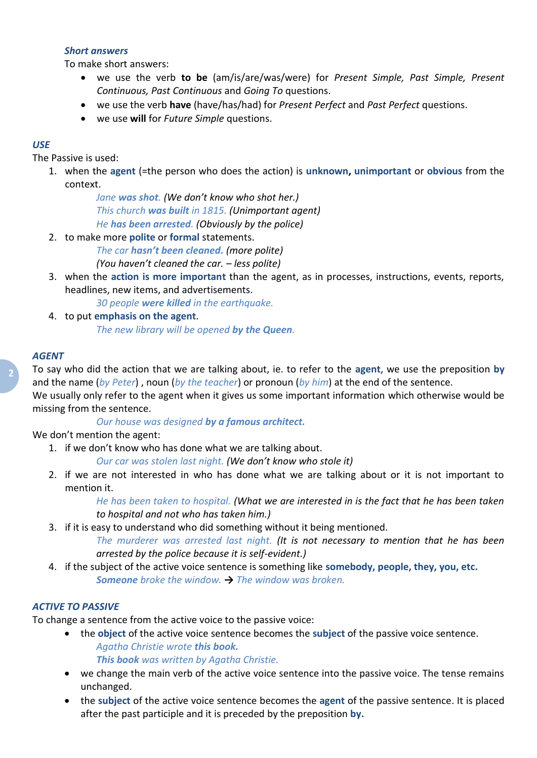## *Short answers*

To make short answers:

- we use the verb **to be** (am/is/are/was/were) for *Present Simple, Past Simple, Present Continuous, Past Continuous* and *Going To* questions.
- we use the verb **have** (have/has/had) for *Present Perfect* and *Past Perfect* questions.
- we use **will** for *Future Simple* questions.

# *USE*

The Passive is used:

1. when the **agent** (=the person who does the action) is **unknown, unimportant** or **obvious** from the context.

> *Jane was shot. (We don't know who shot her.) This church was built in 1815. (Unimportant agent) He has been arrested. (Obviously by the police)*

- 2. to make more **polite** or **formal** statements.
	- *The car hasn't been cleaned. (more polite) (You haven't cleaned the car. – less polite)*
- 3. when the **action is more important** than the agent, as in processes, instructions, events, reports, headlines, new items, and advertisements.

*30 people were killed in the earthquake.*

4. to put **emphasis on the agent**. *The new library will be opened by the Queen.*

## *AGENT*

To say who did the action that we are talking about, ie. to refer to the **agent**, we use the preposition **by** and the name (*by Peter*) , noun (*by the teacher*) or pronoun (*by him*) at the end of the sentence.

We usually only refer to the agent when it gives us some important information which otherwise would be missing from the sentence.

*Our house was designed by a famous architect.*

We don't mention the agent:

1. if we don't know who has done what we are talking about.

*Our car was stolen last night. (We don't know who stole it)*

2. if we are not interested in who has done what we are talking about or it is not important to mention it.

*He has been taken to hospital. (What we are interested in is the fact that he has been taken to hospital and not who has taken him.)*

3. if it is easy to understand who did something without it being mentioned.

*The murderer was arrested last night. (It is not necessary to mention that he has been arrested by the police because it is self-evident.)*

4. if the subject of the active voice sentence is something like **somebody, people, they, you, etc.** *Someone broke the window. → The window was broken.*

# *ACTIVE TO PASSIVE*

To change a sentence from the active voice to the passive voice:

- the **object** of the active voice sentence becomes the **subject** of the passive voice sentence. *Agatha Christie wrote this book. This book was written by Agatha Christie.*
- we change the main verb of the active voice sentence into the passive voice. The tense remains
- unchanged. the **subject** of the active voice sentence becomes the **agent** of the passive sentence. It is placed after the past participle and it is preceded by the preposition **by.**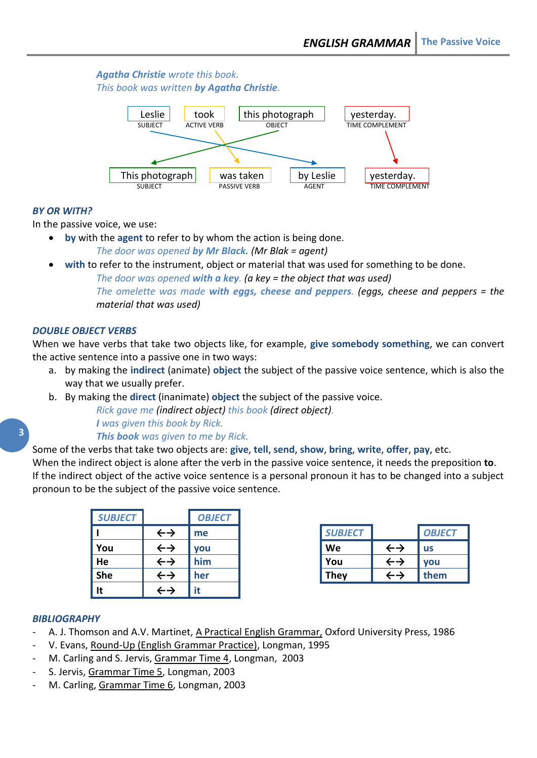## *Agatha Christie wrote this book. This book was written by Agatha Christie.*



## *BY OR WITH?*

In the passive voice, we use:

- **by** with the **agent** to refer to by whom the action is being done. *The door was opened by Mr Black. (Mr Blak = agent)*
	- **with** to refer to the instrument, object or material that was used for something to be done.

*The door was opened with a key. (a key = the object that was used)*

*The omelette was made with eggs, cheese and peppers. (eggs, cheese and peppers = the material that was used)*

## *DOUBLE OBJECT VERBS*

When we have verbs that take two objects like, for example, **give somebody something**, we can convert the active sentence into a passive one in two ways:

- a. by making the **indirect** (animate) **object** the subject of the passive voice sentence, which is also the way that we usually prefer.
- b. By making the **direct** (inanimate) **object** the subject of the passive voice.

*Rick gave me (indirect object) this book (direct object). I was given this book by Rick.*

#### *This book was given to me by Rick.*

Some of the verbs that take two objects are: **give**, **tell**, **send**, **show**, **bring**, **write**, **offer**, **pay**, etc.

When the indirect object is alone after the verb in the passive voice sentence, it needs the preposition **to**. If the indirect object of the active voice sentence is a personal pronoun it has to be changed into a subject pronoun to be the subject of the passive voice sentence.

| <b>SUBJECT</b> |                   | <b>OBJECT</b> |                |                            |               |
|----------------|-------------------|---------------|----------------|----------------------------|---------------|
|                | $\leftrightarrow$ | me            | <b>SUBJECT</b> |                            | <b>OBJECT</b> |
| You            | $\leftrightarrow$ | <b>vou</b>    | We             | $\leftarrow$ $\rightarrow$ | <b>us</b>     |
| He             | $\leftrightarrow$ | him           | You            | $\leftarrow$ $\rightarrow$ | <b>vou</b>    |
| <b>She</b>     | $\leftrightarrow$ | her           | <b>They</b>    |                            | them          |
| It             | ∸→                | it            |                |                            |               |

| <b>SUBJECT</b> |                            | <b>OBJECT</b> |
|----------------|----------------------------|---------------|
| We             | $\leftarrow$ $\rightarrow$ | <b>us</b>     |
| You            | $\leftarrow \rightarrow$   | <b>vou</b>    |
| <b>They</b>    | ←→                         | them          |

## *BIBLIOGRAPHY*

- A. J. Thomson and A.V. Martinet, A Practical English Grammar, Oxford University Press, 1986
- V. Evans, Round-Up (English Grammar Practice), Longman, 1995
- M. Carling and S. Jervis, Grammar Time 4, Longman, 2003
- S. Jervis, Grammar Time 5, Longman, 2003
- M. Carling, Grammar Time 6, Longman, 2003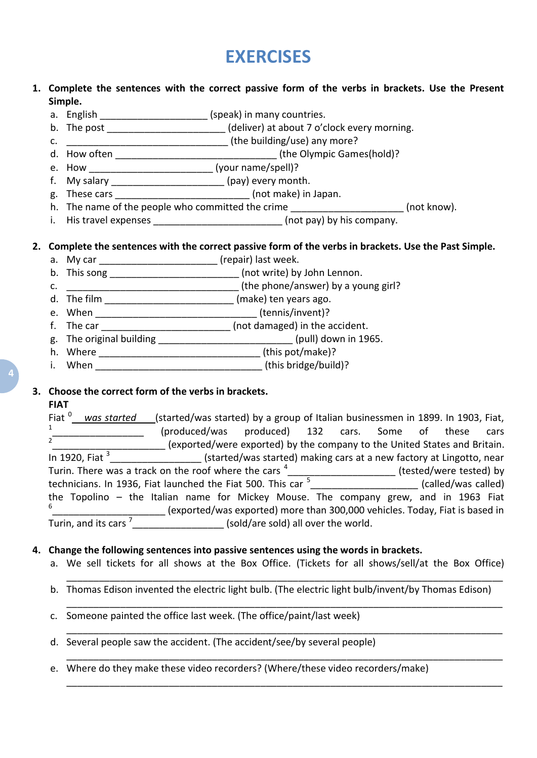# **EXERCISES**

## **1. Complete the sentences with the correct passive form of the verbs in brackets. Use the Present Simple.**

- a. English \_\_\_\_\_\_\_\_\_\_\_\_\_\_\_\_\_\_\_\_\_\_(speak) in many countries.
- b. The post \_\_\_\_\_\_\_\_\_\_\_\_\_\_\_\_\_\_\_\_\_\_\_(deliver) at about 7 o'clock every morning.
- c. \_\_\_\_\_\_\_\_\_\_\_\_\_\_\_\_\_\_\_\_\_\_\_\_\_\_\_\_\_\_ (the building/use) any more?
- d. How often \_\_\_\_\_\_\_\_\_\_\_\_\_\_\_\_\_\_\_\_\_\_\_\_\_\_\_\_\_\_ (the Olympic Games(hold)?
- e. How \_\_\_\_\_\_\_\_\_\_\_\_\_\_\_\_\_\_\_\_\_\_\_\_\_\_\_\_\_\_\_\_\_\_(your name/spell)?
- f. My salary \_\_\_\_\_\_\_\_\_\_\_\_\_\_\_\_\_\_\_\_\_ (pay) every month.
- g. These cars \_\_\_\_\_\_\_\_\_\_\_\_\_\_\_\_\_\_\_\_\_\_\_\_\_ (not make) in Japan.
- h. The name of the people who committed the crime \_\_\_\_\_\_\_\_\_\_\_\_\_\_\_\_\_\_\_\_\_\_\_\_\_ (not know).
- i. His travel expenses \_\_\_\_\_\_\_\_\_\_\_\_\_\_\_\_\_\_\_\_\_\_\_\_\_\_\_(not pay) by his company.

## **2. Complete the sentences with the correct passive form of the verbs in brackets. Use the Past Simple.**

- a. My car \_\_\_\_\_\_\_\_\_\_\_\_\_\_\_\_\_\_\_\_\_\_\_\_\_\_\_(repair) last week.
- b. This song example and the state of the total of the total of the total of the total of the total of the total of the total of the total of the total of the total of the total of the total of the total of the total of th
- c. \_\_\_\_\_\_\_\_\_\_\_\_\_\_\_\_\_\_\_\_\_\_\_\_\_\_\_\_\_\_\_\_ (the phone/answer) by a young girl?
- d. The film \_\_\_\_\_\_\_\_\_\_\_\_\_\_\_\_\_\_\_\_\_\_\_\_ (make) ten years ago.
- e. When \_\_\_\_\_\_\_\_\_\_\_\_\_\_\_\_\_\_\_\_\_\_\_\_\_\_\_\_\_\_ (tennis/invent)?
- f. The car \_\_\_\_\_\_\_\_\_\_\_\_\_\_\_\_\_\_\_\_\_\_\_\_\_ (not damaged) in the accident.
- g. The original building \_\_\_\_\_\_\_\_\_\_\_\_\_\_\_\_\_\_\_\_\_\_\_\_\_\_(pull) down in 1965.
- h. Where \_\_\_\_\_\_\_\_\_\_\_\_\_\_\_\_\_\_\_\_\_\_\_\_\_\_\_\_\_\_ (this pot/make)?
- i. When  $\qquad \qquad$  (this bridge/build)?

## **3. Choose the correct form of the verbs in brackets.**

#### **FIAT**

| Fiat $0$<br>was started                                                              | (started/was started) by a group of Italian businessmen in 1899. In 1903, Fiat, |                                                                      |  |                         |                     |      |
|--------------------------------------------------------------------------------------|---------------------------------------------------------------------------------|----------------------------------------------------------------------|--|-------------------------|---------------------|------|
| 1                                                                                    | (produced/was                                                                   | produced) 132 cars. Some                                             |  | of                      | these               | cars |
|                                                                                      | (exported/were exported) by the company to the United States and Britain.       |                                                                      |  |                         |                     |      |
| In 1920, Fiat $3$                                                                    |                                                                                 | (started/was started) making cars at a new factory at Lingotto, near |  |                         |                     |      |
| Turin. There was a track on the roof where the cars <sup>4</sup>                     |                                                                                 |                                                                      |  | (tested/were tested) by |                     |      |
| technicians. In 1936, Fiat launched the Fiat 500. This car <sup>5</sup>              |                                                                                 |                                                                      |  |                         | (called/was called) |      |
| the Topolino - the Italian name for Mickey Mouse. The company grew, and in 1963 Fiat |                                                                                 |                                                                      |  |                         |                     |      |
| 6                                                                                    | (exported/was exported) more than 300,000 vehicles. Today, Fiat is based in     |                                                                      |  |                         |                     |      |
| Turin, and its cars                                                                  |                                                                                 | (sold/are sold) all over the world.                                  |  |                         |                     |      |

#### **4. Change the following sentences into passive sentences using the words in brackets.**

a. We sell tickets for all shows at the Box Office. (Tickets for all shows/sell/at the Box Office)

\_\_\_\_\_\_\_\_\_\_\_\_\_\_\_\_\_\_\_\_\_\_\_\_\_\_\_\_\_\_\_\_\_\_\_\_\_\_\_\_\_\_\_\_\_\_\_\_\_\_\_\_\_\_\_\_\_\_\_\_\_\_\_\_\_\_\_\_\_\_\_\_\_\_\_\_\_\_\_\_\_

\_\_\_\_\_\_\_\_\_\_\_\_\_\_\_\_\_\_\_\_\_\_\_\_\_\_\_\_\_\_\_\_\_\_\_\_\_\_\_\_\_\_\_\_\_\_\_\_\_\_\_\_\_\_\_\_\_\_\_\_\_\_\_\_\_\_\_\_\_\_\_\_\_\_\_\_\_\_\_\_\_

\_\_\_\_\_\_\_\_\_\_\_\_\_\_\_\_\_\_\_\_\_\_\_\_\_\_\_\_\_\_\_\_\_\_\_\_\_\_\_\_\_\_\_\_\_\_\_\_\_\_\_\_\_\_\_\_\_\_\_\_\_\_\_\_\_\_\_\_\_\_\_\_\_\_\_\_\_\_\_\_\_

\_\_\_\_\_\_\_\_\_\_\_\_\_\_\_\_\_\_\_\_\_\_\_\_\_\_\_\_\_\_\_\_\_\_\_\_\_\_\_\_\_\_\_\_\_\_\_\_\_\_\_\_\_\_\_\_\_\_\_\_\_\_\_\_\_\_\_\_\_\_\_\_\_\_\_\_\_\_\_\_\_

\_\_\_\_\_\_\_\_\_\_\_\_\_\_\_\_\_\_\_\_\_\_\_\_\_\_\_\_\_\_\_\_\_\_\_\_\_\_\_\_\_\_\_\_\_\_\_\_\_\_\_\_\_\_\_\_\_\_\_\_\_\_\_\_\_\_\_\_\_\_\_\_\_\_\_\_\_\_\_\_\_

- b. Thomas Edison invented the electric light bulb. (The electric light bulb/invent/by Thomas Edison)
- c. Someone painted the office last week. (The office/paint/last week)
- d. Several people saw the accident. (The accident/see/by several people)
- e. Where do they make these video recorders? (Where/these video recorders/make)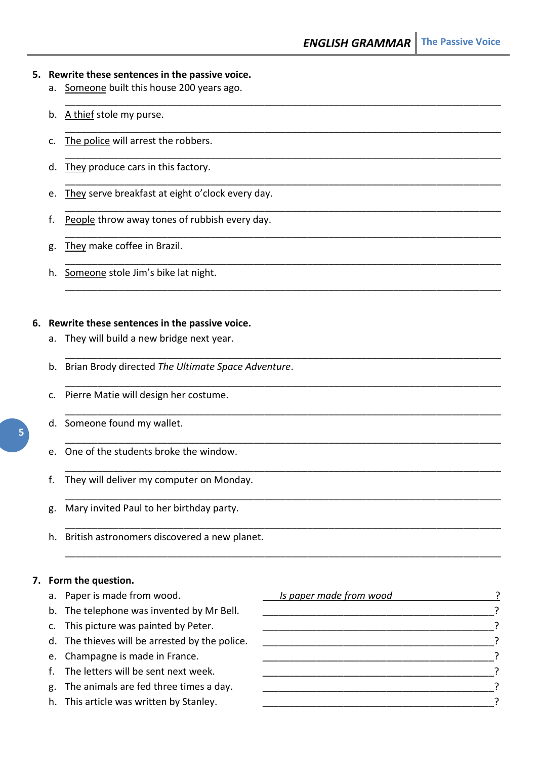\_\_\_\_\_\_\_\_\_\_\_\_\_\_\_\_\_\_\_\_\_\_\_\_\_\_\_\_\_\_\_\_\_\_\_\_\_\_\_\_\_\_\_\_\_\_\_\_\_\_\_\_\_\_\_\_\_\_\_\_\_\_\_\_\_\_\_\_\_\_\_\_\_\_\_\_\_\_\_\_\_

\_\_\_\_\_\_\_\_\_\_\_\_\_\_\_\_\_\_\_\_\_\_\_\_\_\_\_\_\_\_\_\_\_\_\_\_\_\_\_\_\_\_\_\_\_\_\_\_\_\_\_\_\_\_\_\_\_\_\_\_\_\_\_\_\_\_\_\_\_\_\_\_\_\_\_\_\_\_\_\_\_

\_\_\_\_\_\_\_\_\_\_\_\_\_\_\_\_\_\_\_\_\_\_\_\_\_\_\_\_\_\_\_\_\_\_\_\_\_\_\_\_\_\_\_\_\_\_\_\_\_\_\_\_\_\_\_\_\_\_\_\_\_\_\_\_\_\_\_\_\_\_\_\_\_\_\_\_\_\_\_\_\_

\_\_\_\_\_\_\_\_\_\_\_\_\_\_\_\_\_\_\_\_\_\_\_\_\_\_\_\_\_\_\_\_\_\_\_\_\_\_\_\_\_\_\_\_\_\_\_\_\_\_\_\_\_\_\_\_\_\_\_\_\_\_\_\_\_\_\_\_\_\_\_\_\_\_\_\_\_\_\_\_\_

\_\_\_\_\_\_\_\_\_\_\_\_\_\_\_\_\_\_\_\_\_\_\_\_\_\_\_\_\_\_\_\_\_\_\_\_\_\_\_\_\_\_\_\_\_\_\_\_\_\_\_\_\_\_\_\_\_\_\_\_\_\_\_\_\_\_\_\_\_\_\_\_\_\_\_\_\_\_\_\_\_

\_\_\_\_\_\_\_\_\_\_\_\_\_\_\_\_\_\_\_\_\_\_\_\_\_\_\_\_\_\_\_\_\_\_\_\_\_\_\_\_\_\_\_\_\_\_\_\_\_\_\_\_\_\_\_\_\_\_\_\_\_\_\_\_\_\_\_\_\_\_\_\_\_\_\_\_\_\_\_\_\_

\_\_\_\_\_\_\_\_\_\_\_\_\_\_\_\_\_\_\_\_\_\_\_\_\_\_\_\_\_\_\_\_\_\_\_\_\_\_\_\_\_\_\_\_\_\_\_\_\_\_\_\_\_\_\_\_\_\_\_\_\_\_\_\_\_\_\_\_\_\_\_\_\_\_\_\_\_\_\_\_\_

\_\_\_\_\_\_\_\_\_\_\_\_\_\_\_\_\_\_\_\_\_\_\_\_\_\_\_\_\_\_\_\_\_\_\_\_\_\_\_\_\_\_\_\_\_\_\_\_\_\_\_\_\_\_\_\_\_\_\_\_\_\_\_\_\_\_\_\_\_\_\_\_\_\_\_\_\_\_\_\_\_

\_\_\_\_\_\_\_\_\_\_\_\_\_\_\_\_\_\_\_\_\_\_\_\_\_\_\_\_\_\_\_\_\_\_\_\_\_\_\_\_\_\_\_\_\_\_\_\_\_\_\_\_\_\_\_\_\_\_\_\_\_\_\_\_\_\_\_\_\_\_\_\_\_\_\_\_\_\_\_\_\_

\_\_\_\_\_\_\_\_\_\_\_\_\_\_\_\_\_\_\_\_\_\_\_\_\_\_\_\_\_\_\_\_\_\_\_\_\_\_\_\_\_\_\_\_\_\_\_\_\_\_\_\_\_\_\_\_\_\_\_\_\_\_\_\_\_\_\_\_\_\_\_\_\_\_\_\_\_\_\_\_\_

\_\_\_\_\_\_\_\_\_\_\_\_\_\_\_\_\_\_\_\_\_\_\_\_\_\_\_\_\_\_\_\_\_\_\_\_\_\_\_\_\_\_\_\_\_\_\_\_\_\_\_\_\_\_\_\_\_\_\_\_\_\_\_\_\_\_\_\_\_\_\_\_\_\_\_\_\_\_\_\_\_

\_\_\_\_\_\_\_\_\_\_\_\_\_\_\_\_\_\_\_\_\_\_\_\_\_\_\_\_\_\_\_\_\_\_\_\_\_\_\_\_\_\_\_\_\_\_\_\_\_\_\_\_\_\_\_\_\_\_\_\_\_\_\_\_\_\_\_\_\_\_\_\_\_\_\_\_\_\_\_\_\_

\_\_\_\_\_\_\_\_\_\_\_\_\_\_\_\_\_\_\_\_\_\_\_\_\_\_\_\_\_\_\_\_\_\_\_\_\_\_\_\_\_\_\_\_\_\_\_\_\_\_\_\_\_\_\_\_\_\_\_\_\_\_\_\_\_\_\_\_\_\_\_\_\_\_\_\_\_\_\_\_\_

\_\_\_\_\_\_\_\_\_\_\_\_\_\_\_\_\_\_\_\_\_\_\_\_\_\_\_\_\_\_\_\_\_\_\_\_\_\_\_\_\_\_\_\_\_\_\_\_\_\_\_\_\_\_\_\_\_\_\_\_\_\_\_\_\_\_\_\_\_\_\_\_\_\_\_\_\_\_\_\_\_

\_\_\_\_\_\_\_\_\_\_\_\_\_\_\_\_\_\_\_\_\_\_\_\_\_\_\_\_\_\_\_\_\_\_\_\_\_\_\_\_\_\_\_\_\_\_\_\_\_\_\_\_\_\_\_\_\_\_\_\_\_\_\_\_\_\_\_\_\_\_\_\_\_\_\_\_\_\_\_\_\_

\_\_\_\_\_\_\_\_\_\_\_\_\_\_\_\_\_\_\_\_\_\_\_\_\_\_\_\_\_\_\_\_\_\_\_\_\_\_\_\_\_\_\_\_\_\_\_\_\_\_\_\_\_\_\_\_\_\_\_\_\_\_\_\_\_\_\_\_\_\_\_\_\_\_\_\_\_\_\_\_\_

#### **5. Rewrite these sentences in the passive voice.**

- a. Someone built this house 200 years ago.
- b. A thief stole my purse.
- c. The police will arrest the robbers.
- d. They produce cars in this factory.
- e. They serve breakfast at eight o'clock every day.
- f. People throw away tones of rubbish every day.
- g. They make coffee in Brazil.
- h. Someone stole Jim's bike lat night.

## **6. Rewrite these sentences in the passive voice.**

- a. They will build a new bridge next year.
- b. Brian Brody directed *The Ultimate Space Adventure*.
- c. Pierre Matie will design her costume.
- d. Someone found my wallet.
- e. One of the students broke the window.
- f. They will deliver my computer on Monday.
- g. Mary invited Paul to her birthday party.
- h. British astronomers discovered a new planet.

#### **7. Form the question.**

- a. Paper is made from wood.
- b. The telephone was invented by Mr Bell.
- c. This picture was painted by Peter.
- d. The thieves will be arrested by the police.
- e. Champagne is made in France.
- f. The letters will be sent next week.
- g. The animals are fed three times a day.
- h. This article was written by Stanley.

| Is paper made from wood |  |
|-------------------------|--|
|                         |  |
|                         |  |
|                         |  |
|                         |  |
|                         |  |
|                         |  |
|                         |  |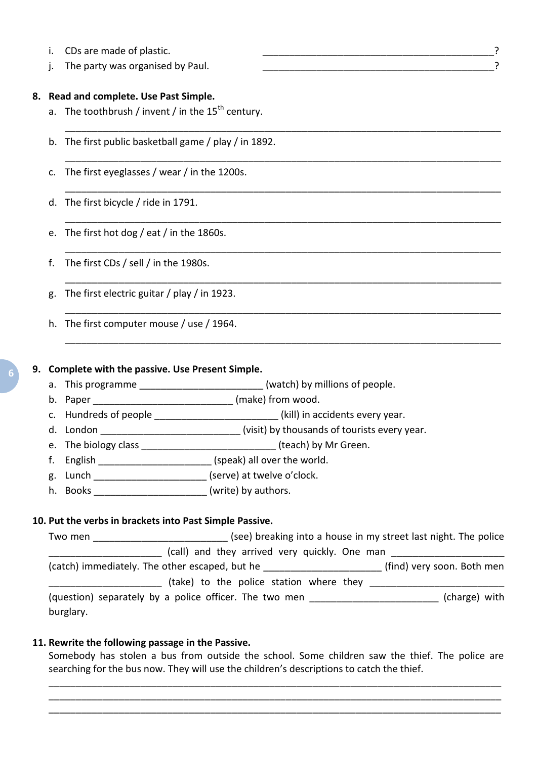- i. CDs are made of plastic.  $\overline{a}$
- j. The party was organised by Paul. The state of the state of the state of the state of the state of the state o

#### **8. Read and complete. Use Past Simple.**

- a. The toothbrush / invent / in the  $15<sup>th</sup>$  century.
- b. The first public basketball game / play / in 1892.
- c. The first eyeglasses / wear / in the 1200s.
- d. The first bicycle / ride in 1791.
- e. The first hot dog / eat / in the 1860s.
- f. The first CDs / sell / in the 1980s.
- g. The first electric guitar / play / in 1923.
- h. The first computer mouse / use / 1964.

#### **9. Complete with the passive. Use Present Simple.**

- a. This programme \_\_\_\_\_\_\_\_\_\_\_\_\_\_\_\_\_\_\_\_\_\_\_\_(watch) by millions of people.
- b. Paper **b.** Paper **b.** Paper **b.** Communication **b.** Communication **b.** Communication **b.** Communication **b.** Communication **b.** Communication **b.** Communication **b.** Communication **b.** Communication **b.** Communication
- c. Hundreds of people \_\_\_\_\_\_\_\_\_\_\_\_\_\_\_\_\_\_\_\_\_\_\_\_(kill) in accidents every year.
- d. London \_\_\_\_\_\_\_\_\_\_\_\_\_\_\_\_\_\_\_\_\_\_\_\_\_\_\_(visit) by thousands of tourists every year.
- e. The biology class **Exercise 2 and Series** (teach) by Mr Green.
- f. English  $(speak)$  all over the world.
- g. Lunch \_\_\_\_\_\_\_\_\_\_\_\_\_\_\_\_\_\_\_\_\_\_\_\_\_\_\_ (serve) at twelve o'clock.
- h. Books \_\_\_\_\_\_\_\_\_\_\_\_\_\_\_\_\_\_\_\_\_\_\_\_(write) by authors.

#### **10. Put the verbs in brackets into Past Simple Passive.**

Two men **The metally controlled to the struck** (see) breaking into a house in my street last night. The police (call) and they arrived very quickly. One man (catch) immediately. The other escaped, but he \_\_\_\_\_\_\_\_\_\_\_\_\_\_\_\_\_\_\_\_\_\_ (find) very soon. Both men \_\_\_\_\_\_\_\_\_\_\_\_\_\_\_\_\_\_\_\_\_ (take) to the police station where they \_\_\_\_\_\_\_\_\_\_\_\_\_\_\_\_\_\_\_\_\_\_\_\_\_ (question) separately by a police officer. The two men \_\_\_\_\_\_\_\_\_\_\_\_\_\_\_\_\_\_\_\_\_\_\_\_\_\_\_(charge) with burglary.

\_\_\_\_\_\_\_\_\_\_\_\_\_\_\_\_\_\_\_\_\_\_\_\_\_\_\_\_\_\_\_\_\_\_\_\_\_\_\_\_\_\_\_\_\_\_\_\_\_\_\_\_\_\_\_\_\_\_\_\_\_\_\_\_\_\_\_\_\_\_\_\_\_\_\_\_\_\_\_\_\_

\_\_\_\_\_\_\_\_\_\_\_\_\_\_\_\_\_\_\_\_\_\_\_\_\_\_\_\_\_\_\_\_\_\_\_\_\_\_\_\_\_\_\_\_\_\_\_\_\_\_\_\_\_\_\_\_\_\_\_\_\_\_\_\_\_\_\_\_\_\_\_\_\_\_\_\_\_\_\_\_\_

\_\_\_\_\_\_\_\_\_\_\_\_\_\_\_\_\_\_\_\_\_\_\_\_\_\_\_\_\_\_\_\_\_\_\_\_\_\_\_\_\_\_\_\_\_\_\_\_\_\_\_\_\_\_\_\_\_\_\_\_\_\_\_\_\_\_\_\_\_\_\_\_\_\_\_\_\_\_\_\_\_

\_\_\_\_\_\_\_\_\_\_\_\_\_\_\_\_\_\_\_\_\_\_\_\_\_\_\_\_\_\_\_\_\_\_\_\_\_\_\_\_\_\_\_\_\_\_\_\_\_\_\_\_\_\_\_\_\_\_\_\_\_\_\_\_\_\_\_\_\_\_\_\_\_\_\_\_\_\_\_\_\_

\_\_\_\_\_\_\_\_\_\_\_\_\_\_\_\_\_\_\_\_\_\_\_\_\_\_\_\_\_\_\_\_\_\_\_\_\_\_\_\_\_\_\_\_\_\_\_\_\_\_\_\_\_\_\_\_\_\_\_\_\_\_\_\_\_\_\_\_\_\_\_\_\_\_\_\_\_\_\_\_\_

\_\_\_\_\_\_\_\_\_\_\_\_\_\_\_\_\_\_\_\_\_\_\_\_\_\_\_\_\_\_\_\_\_\_\_\_\_\_\_\_\_\_\_\_\_\_\_\_\_\_\_\_\_\_\_\_\_\_\_\_\_\_\_\_\_\_\_\_\_\_\_\_\_\_\_\_\_\_\_\_\_

\_\_\_\_\_\_\_\_\_\_\_\_\_\_\_\_\_\_\_\_\_\_\_\_\_\_\_\_\_\_\_\_\_\_\_\_\_\_\_\_\_\_\_\_\_\_\_\_\_\_\_\_\_\_\_\_\_\_\_\_\_\_\_\_\_\_\_\_\_\_\_\_\_\_\_\_\_\_\_\_\_

\_\_\_\_\_\_\_\_\_\_\_\_\_\_\_\_\_\_\_\_\_\_\_\_\_\_\_\_\_\_\_\_\_\_\_\_\_\_\_\_\_\_\_\_\_\_\_\_\_\_\_\_\_\_\_\_\_\_\_\_\_\_\_\_\_\_\_\_\_\_\_\_\_\_\_\_\_\_\_\_\_

## **11. Rewrite the following passage in the Passive.**

Somebody has stolen a bus from outside the school. Some children saw the thief. The police are searching for the bus now. They will use the children's descriptions to catch the thief.

\_\_\_\_\_\_\_\_\_\_\_\_\_\_\_\_\_\_\_\_\_\_\_\_\_\_\_\_\_\_\_\_\_\_\_\_\_\_\_\_\_\_\_\_\_\_\_\_\_\_\_\_\_\_\_\_\_\_\_\_\_\_\_\_\_\_\_\_\_\_\_\_\_\_\_\_\_\_\_\_\_\_\_\_ \_\_\_\_\_\_\_\_\_\_\_\_\_\_\_\_\_\_\_\_\_\_\_\_\_\_\_\_\_\_\_\_\_\_\_\_\_\_\_\_\_\_\_\_\_\_\_\_\_\_\_\_\_\_\_\_\_\_\_\_\_\_\_\_\_\_\_\_\_\_\_\_\_\_\_\_\_\_\_\_\_\_\_\_ \_\_\_\_\_\_\_\_\_\_\_\_\_\_\_\_\_\_\_\_\_\_\_\_\_\_\_\_\_\_\_\_\_\_\_\_\_\_\_\_\_\_\_\_\_\_\_\_\_\_\_\_\_\_\_\_\_\_\_\_\_\_\_\_\_\_\_\_\_\_\_\_\_\_\_\_\_\_\_\_\_\_\_\_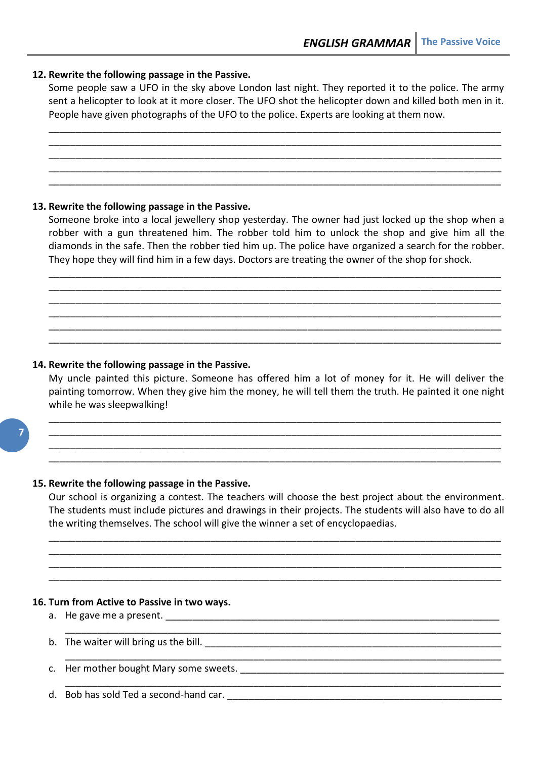## **12. Rewrite the following passage in the Passive.**

Some people saw a UFO in the sky above London last night. They reported it to the police. The army sent a helicopter to look at it more closer. The UFO shot the helicopter down and killed both men in it. People have given photographs of the UFO to the police. Experts are looking at them now.

\_\_\_\_\_\_\_\_\_\_\_\_\_\_\_\_\_\_\_\_\_\_\_\_\_\_\_\_\_\_\_\_\_\_\_\_\_\_\_\_\_\_\_\_\_\_\_\_\_\_\_\_\_\_\_\_\_\_\_\_\_\_\_\_\_\_\_\_\_\_\_\_\_\_\_\_\_\_\_\_\_\_\_\_ \_\_\_\_\_\_\_\_\_\_\_\_\_\_\_\_\_\_\_\_\_\_\_\_\_\_\_\_\_\_\_\_\_\_\_\_\_\_\_\_\_\_\_\_\_\_\_\_\_\_\_\_\_\_\_\_\_\_\_\_\_\_\_\_\_\_\_\_\_\_\_\_\_\_\_\_\_\_\_\_\_\_\_\_ \_\_\_\_\_\_\_\_\_\_\_\_\_\_\_\_\_\_\_\_\_\_\_\_\_\_\_\_\_\_\_\_\_\_\_\_\_\_\_\_\_\_\_\_\_\_\_\_\_\_\_\_\_\_\_\_\_\_\_\_\_\_\_\_\_\_\_\_\_\_\_\_\_\_\_\_\_\_\_\_\_\_\_\_ \_\_\_\_\_\_\_\_\_\_\_\_\_\_\_\_\_\_\_\_\_\_\_\_\_\_\_\_\_\_\_\_\_\_\_\_\_\_\_\_\_\_\_\_\_\_\_\_\_\_\_\_\_\_\_\_\_\_\_\_\_\_\_\_\_\_\_\_\_\_\_\_\_\_\_\_\_\_\_\_\_\_\_\_ \_\_\_\_\_\_\_\_\_\_\_\_\_\_\_\_\_\_\_\_\_\_\_\_\_\_\_\_\_\_\_\_\_\_\_\_\_\_\_\_\_\_\_\_\_\_\_\_\_\_\_\_\_\_\_\_\_\_\_\_\_\_\_\_\_\_\_\_\_\_\_\_\_\_\_\_\_\_\_\_\_\_\_\_

#### **13. Rewrite the following passage in the Passive.**

Someone broke into a local jewellery shop yesterday. The owner had just locked up the shop when a robber with a gun threatened him. The robber told him to unlock the shop and give him all the diamonds in the safe. Then the robber tied him up. The police have organized a search for the robber. They hope they will find him in a few days. Doctors are treating the owner of the shop for shock.

\_\_\_\_\_\_\_\_\_\_\_\_\_\_\_\_\_\_\_\_\_\_\_\_\_\_\_\_\_\_\_\_\_\_\_\_\_\_\_\_\_\_\_\_\_\_\_\_\_\_\_\_\_\_\_\_\_\_\_\_\_\_\_\_\_\_\_\_\_\_\_\_\_\_\_\_\_\_\_\_\_\_\_\_ \_\_\_\_\_\_\_\_\_\_\_\_\_\_\_\_\_\_\_\_\_\_\_\_\_\_\_\_\_\_\_\_\_\_\_\_\_\_\_\_\_\_\_\_\_\_\_\_\_\_\_\_\_\_\_\_\_\_\_\_\_\_\_\_\_\_\_\_\_\_\_\_\_\_\_\_\_\_\_\_\_\_\_\_ \_\_\_\_\_\_\_\_\_\_\_\_\_\_\_\_\_\_\_\_\_\_\_\_\_\_\_\_\_\_\_\_\_\_\_\_\_\_\_\_\_\_\_\_\_\_\_\_\_\_\_\_\_\_\_\_\_\_\_\_\_\_\_\_\_\_\_\_\_\_\_\_\_\_\_\_\_\_\_\_\_\_\_\_ \_\_\_\_\_\_\_\_\_\_\_\_\_\_\_\_\_\_\_\_\_\_\_\_\_\_\_\_\_\_\_\_\_\_\_\_\_\_\_\_\_\_\_\_\_\_\_\_\_\_\_\_\_\_\_\_\_\_\_\_\_\_\_\_\_\_\_\_\_\_\_\_\_\_\_\_\_\_\_\_\_\_\_\_ \_\_\_\_\_\_\_\_\_\_\_\_\_\_\_\_\_\_\_\_\_\_\_\_\_\_\_\_\_\_\_\_\_\_\_\_\_\_\_\_\_\_\_\_\_\_\_\_\_\_\_\_\_\_\_\_\_\_\_\_\_\_\_\_\_\_\_\_\_\_\_\_\_\_\_\_\_\_\_\_\_\_\_\_ \_\_\_\_\_\_\_\_\_\_\_\_\_\_\_\_\_\_\_\_\_\_\_\_\_\_\_\_\_\_\_\_\_\_\_\_\_\_\_\_\_\_\_\_\_\_\_\_\_\_\_\_\_\_\_\_\_\_\_\_\_\_\_\_\_\_\_\_\_\_\_\_\_\_\_\_\_\_\_\_\_\_\_\_

## **14. Rewrite the following passage in the Passive.**

My uncle painted this picture. Someone has offered him a lot of money for it. He will deliver the painting tomorrow. When they give him the money, he will tell them the truth. He painted it one night while he was sleepwalking!

\_\_\_\_\_\_\_\_\_\_\_\_\_\_\_\_\_\_\_\_\_\_\_\_\_\_\_\_\_\_\_\_\_\_\_\_\_\_\_\_\_\_\_\_\_\_\_\_\_\_\_\_\_\_\_\_\_\_\_\_\_\_\_\_\_\_\_\_\_\_\_\_\_\_\_\_\_\_\_\_\_\_\_\_ \_\_\_\_\_\_\_\_\_\_\_\_\_\_\_\_\_\_\_\_\_\_\_\_\_\_\_\_\_\_\_\_\_\_\_\_\_\_\_\_\_\_\_\_\_\_\_\_\_\_\_\_\_\_\_\_\_\_\_\_\_\_\_\_\_\_\_\_\_\_\_\_\_\_\_\_\_\_\_\_\_\_\_\_ \_\_\_\_\_\_\_\_\_\_\_\_\_\_\_\_\_\_\_\_\_\_\_\_\_\_\_\_\_\_\_\_\_\_\_\_\_\_\_\_\_\_\_\_\_\_\_\_\_\_\_\_\_\_\_\_\_\_\_\_\_\_\_\_\_\_\_\_\_\_\_\_\_\_\_\_\_\_\_\_\_\_\_\_ \_\_\_\_\_\_\_\_\_\_\_\_\_\_\_\_\_\_\_\_\_\_\_\_\_\_\_\_\_\_\_\_\_\_\_\_\_\_\_\_\_\_\_\_\_\_\_\_\_\_\_\_\_\_\_\_\_\_\_\_\_\_\_\_\_\_\_\_\_\_\_\_\_\_\_\_\_\_\_\_\_\_\_\_

#### **15. Rewrite the following passage in the Passive.**

Our school is organizing a contest. The teachers will choose the best project about the environment. The students must include pictures and drawings in their projects. The students will also have to do all the writing themselves. The school will give the winner a set of encyclopaedias.

\_\_\_\_\_\_\_\_\_\_\_\_\_\_\_\_\_\_\_\_\_\_\_\_\_\_\_\_\_\_\_\_\_\_\_\_\_\_\_\_\_\_\_\_\_\_\_\_\_\_\_\_\_\_\_\_\_\_\_\_\_\_\_\_\_\_\_\_\_\_\_\_\_\_\_\_\_\_\_\_\_\_\_\_ \_\_\_\_\_\_\_\_\_\_\_\_\_\_\_\_\_\_\_\_\_\_\_\_\_\_\_\_\_\_\_\_\_\_\_\_\_\_\_\_\_\_\_\_\_\_\_\_\_\_\_\_\_\_\_\_\_\_\_\_\_\_\_\_\_\_\_\_\_\_\_\_\_\_\_\_\_\_\_\_\_\_\_\_ \_\_\_\_\_\_\_\_\_\_\_\_\_\_\_\_\_\_\_\_\_\_\_\_\_\_\_\_\_\_\_\_\_\_\_\_\_\_\_\_\_\_\_\_\_\_\_\_\_\_\_\_\_\_\_\_\_\_\_\_\_\_\_\_\_\_\_\_\_\_\_\_\_\_\_\_\_\_\_\_\_\_\_\_ \_\_\_\_\_\_\_\_\_\_\_\_\_\_\_\_\_\_\_\_\_\_\_\_\_\_\_\_\_\_\_\_\_\_\_\_\_\_\_\_\_\_\_\_\_\_\_\_\_\_\_\_\_\_\_\_\_\_\_\_\_\_\_\_\_\_\_\_\_\_\_\_\_\_\_\_\_\_\_\_\_\_\_\_

\_\_\_\_\_\_\_\_\_\_\_\_\_\_\_\_\_\_\_\_\_\_\_\_\_\_\_\_\_\_\_\_\_\_\_\_\_\_\_\_\_\_\_\_\_\_\_\_\_\_\_\_\_\_\_\_\_\_\_\_\_\_\_\_\_\_\_\_\_\_\_\_\_\_\_\_\_\_\_\_\_

\_\_\_\_\_\_\_\_\_\_\_\_\_\_\_\_\_\_\_\_\_\_\_\_\_\_\_\_\_\_\_\_\_\_\_\_\_\_\_\_\_\_\_\_\_\_\_\_\_\_\_\_\_\_\_\_\_\_\_\_\_\_\_\_\_\_\_\_\_\_\_\_\_\_\_\_\_\_\_\_\_

\_\_\_\_\_\_\_\_\_\_\_\_\_\_\_\_\_\_\_\_\_\_\_\_\_\_\_\_\_\_\_\_\_\_\_\_\_\_\_\_\_\_\_\_\_\_\_\_\_\_\_\_\_\_\_\_\_\_\_\_\_\_\_\_\_\_\_\_\_\_\_\_\_\_\_\_\_\_\_\_\_

#### **16. Turn from Active to Passive in two ways.**

- a. He gave me a present.
- b. The waiter will bring us the bill.
- c. Her mother bought Mary some sweets.
- d. Bob has sold Ted a second-hand car.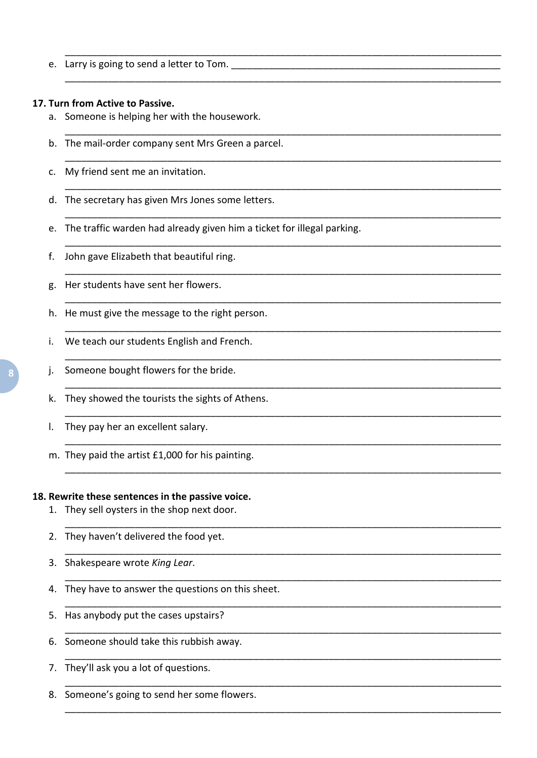e. Larry is going to send a letter to Tom.

#### 17. Turn from Active to Passive.

- a. Someone is helping her with the housework.
- b. The mail-order company sent Mrs Green a parcel.
- c. My friend sent me an invitation.
- d. The secretary has given Mrs Jones some letters.
- e. The traffic warden had already given him a ticket for illegal parking.
- John gave Elizabeth that beautiful ring.  $f_{\rm{r}}$
- Her students have sent her flowers. g.
- h. He must give the message to the right person.
- We teach our students English and French. i.
- Someone bought flowers for the bride. i.
- k. They showed the tourists the sights of Athens.
- They pay her an excellent salary.  $\mathsf{L}$
- m. They paid the artist £1,000 for his painting.

#### 18. Rewrite these sentences in the passive voice.

- 1. They sell oysters in the shop next door.
- 2. They haven't delivered the food yet.
- 3. Shakespeare wrote King Lear.
- 4. They have to answer the questions on this sheet.
- 5. Has anybody put the cases upstairs?
- 6. Someone should take this rubbish away.
- 7. They'll ask you a lot of questions.
- 8. Someone's going to send her some flowers.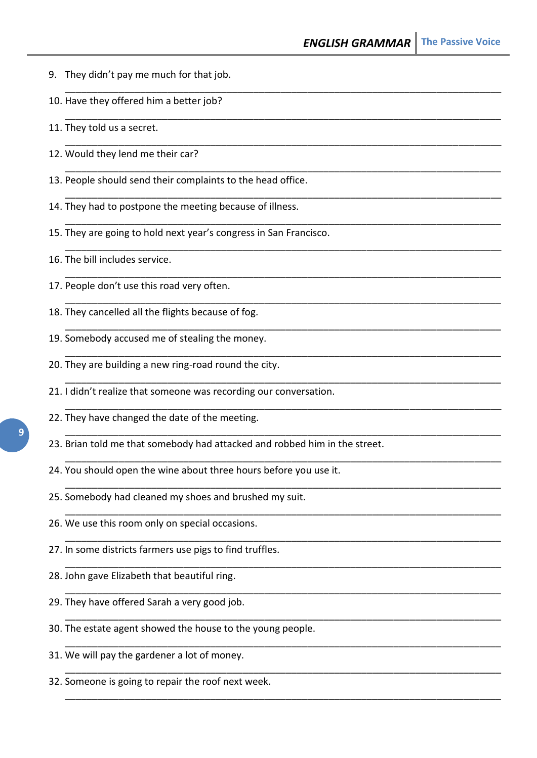- 9. They didn't pay me much for that job.
- 10. Have they offered him a better job?
- 11. They told us a secret.
- 12. Would they lend me their car?
- 13. People should send their complaints to the head office.
- 14. They had to postpone the meeting because of illness.
- 15. They are going to hold next year's congress in San Francisco.

\_\_\_\_\_\_\_\_\_\_\_\_\_\_\_\_\_\_\_\_\_\_\_\_\_\_\_\_\_\_\_\_\_\_\_\_\_\_\_\_\_\_\_\_\_\_\_\_\_\_\_\_\_\_\_\_\_\_\_\_\_\_\_\_\_\_\_\_\_\_\_\_\_\_\_\_\_\_\_\_\_

\_\_\_\_\_\_\_\_\_\_\_\_\_\_\_\_\_\_\_\_\_\_\_\_\_\_\_\_\_\_\_\_\_\_\_\_\_\_\_\_\_\_\_\_\_\_\_\_\_\_\_\_\_\_\_\_\_\_\_\_\_\_\_\_\_\_\_\_\_\_\_\_\_\_\_\_\_\_\_\_\_

\_\_\_\_\_\_\_\_\_\_\_\_\_\_\_\_\_\_\_\_\_\_\_\_\_\_\_\_\_\_\_\_\_\_\_\_\_\_\_\_\_\_\_\_\_\_\_\_\_\_\_\_\_\_\_\_\_\_\_\_\_\_\_\_\_\_\_\_\_\_\_\_\_\_\_\_\_\_\_\_\_

\_\_\_\_\_\_\_\_\_\_\_\_\_\_\_\_\_\_\_\_\_\_\_\_\_\_\_\_\_\_\_\_\_\_\_\_\_\_\_\_\_\_\_\_\_\_\_\_\_\_\_\_\_\_\_\_\_\_\_\_\_\_\_\_\_\_\_\_\_\_\_\_\_\_\_\_\_\_\_\_\_

\_\_\_\_\_\_\_\_\_\_\_\_\_\_\_\_\_\_\_\_\_\_\_\_\_\_\_\_\_\_\_\_\_\_\_\_\_\_\_\_\_\_\_\_\_\_\_\_\_\_\_\_\_\_\_\_\_\_\_\_\_\_\_\_\_\_\_\_\_\_\_\_\_\_\_\_\_\_\_\_\_

\_\_\_\_\_\_\_\_\_\_\_\_\_\_\_\_\_\_\_\_\_\_\_\_\_\_\_\_\_\_\_\_\_\_\_\_\_\_\_\_\_\_\_\_\_\_\_\_\_\_\_\_\_\_\_\_\_\_\_\_\_\_\_\_\_\_\_\_\_\_\_\_\_\_\_\_\_\_\_\_\_

\_\_\_\_\_\_\_\_\_\_\_\_\_\_\_\_\_\_\_\_\_\_\_\_\_\_\_\_\_\_\_\_\_\_\_\_\_\_\_\_\_\_\_\_\_\_\_\_\_\_\_\_\_\_\_\_\_\_\_\_\_\_\_\_\_\_\_\_\_\_\_\_\_\_\_\_\_\_\_\_\_

\_\_\_\_\_\_\_\_\_\_\_\_\_\_\_\_\_\_\_\_\_\_\_\_\_\_\_\_\_\_\_\_\_\_\_\_\_\_\_\_\_\_\_\_\_\_\_\_\_\_\_\_\_\_\_\_\_\_\_\_\_\_\_\_\_\_\_\_\_\_\_\_\_\_\_\_\_\_\_\_\_

\_\_\_\_\_\_\_\_\_\_\_\_\_\_\_\_\_\_\_\_\_\_\_\_\_\_\_\_\_\_\_\_\_\_\_\_\_\_\_\_\_\_\_\_\_\_\_\_\_\_\_\_\_\_\_\_\_\_\_\_\_\_\_\_\_\_\_\_\_\_\_\_\_\_\_\_\_\_\_\_\_

\_\_\_\_\_\_\_\_\_\_\_\_\_\_\_\_\_\_\_\_\_\_\_\_\_\_\_\_\_\_\_\_\_\_\_\_\_\_\_\_\_\_\_\_\_\_\_\_\_\_\_\_\_\_\_\_\_\_\_\_\_\_\_\_\_\_\_\_\_\_\_\_\_\_\_\_\_\_\_\_\_

\_\_\_\_\_\_\_\_\_\_\_\_\_\_\_\_\_\_\_\_\_\_\_\_\_\_\_\_\_\_\_\_\_\_\_\_\_\_\_\_\_\_\_\_\_\_\_\_\_\_\_\_\_\_\_\_\_\_\_\_\_\_\_\_\_\_\_\_\_\_\_\_\_\_\_\_\_\_\_\_\_

\_\_\_\_\_\_\_\_\_\_\_\_\_\_\_\_\_\_\_\_\_\_\_\_\_\_\_\_\_\_\_\_\_\_\_\_\_\_\_\_\_\_\_\_\_\_\_\_\_\_\_\_\_\_\_\_\_\_\_\_\_\_\_\_\_\_\_\_\_\_\_\_\_\_\_\_\_\_\_\_\_

\_\_\_\_\_\_\_\_\_\_\_\_\_\_\_\_\_\_\_\_\_\_\_\_\_\_\_\_\_\_\_\_\_\_\_\_\_\_\_\_\_\_\_\_\_\_\_\_\_\_\_\_\_\_\_\_\_\_\_\_\_\_\_\_\_\_\_\_\_\_\_\_\_\_\_\_\_\_\_\_\_

\_\_\_\_\_\_\_\_\_\_\_\_\_\_\_\_\_\_\_\_\_\_\_\_\_\_\_\_\_\_\_\_\_\_\_\_\_\_\_\_\_\_\_\_\_\_\_\_\_\_\_\_\_\_\_\_\_\_\_\_\_\_\_\_\_\_\_\_\_\_\_\_\_\_\_\_\_\_\_\_\_

\_\_\_\_\_\_\_\_\_\_\_\_\_\_\_\_\_\_\_\_\_\_\_\_\_\_\_\_\_\_\_\_\_\_\_\_\_\_\_\_\_\_\_\_\_\_\_\_\_\_\_\_\_\_\_\_\_\_\_\_\_\_\_\_\_\_\_\_\_\_\_\_\_\_\_\_\_\_\_\_\_

\_\_\_\_\_\_\_\_\_\_\_\_\_\_\_\_\_\_\_\_\_\_\_\_\_\_\_\_\_\_\_\_\_\_\_\_\_\_\_\_\_\_\_\_\_\_\_\_\_\_\_\_\_\_\_\_\_\_\_\_\_\_\_\_\_\_\_\_\_\_\_\_\_\_\_\_\_\_\_\_\_

\_\_\_\_\_\_\_\_\_\_\_\_\_\_\_\_\_\_\_\_\_\_\_\_\_\_\_\_\_\_\_\_\_\_\_\_\_\_\_\_\_\_\_\_\_\_\_\_\_\_\_\_\_\_\_\_\_\_\_\_\_\_\_\_\_\_\_\_\_\_\_\_\_\_\_\_\_\_\_\_\_

\_\_\_\_\_\_\_\_\_\_\_\_\_\_\_\_\_\_\_\_\_\_\_\_\_\_\_\_\_\_\_\_\_\_\_\_\_\_\_\_\_\_\_\_\_\_\_\_\_\_\_\_\_\_\_\_\_\_\_\_\_\_\_\_\_\_\_\_\_\_\_\_\_\_\_\_\_\_\_\_\_

\_\_\_\_\_\_\_\_\_\_\_\_\_\_\_\_\_\_\_\_\_\_\_\_\_\_\_\_\_\_\_\_\_\_\_\_\_\_\_\_\_\_\_\_\_\_\_\_\_\_\_\_\_\_\_\_\_\_\_\_\_\_\_\_\_\_\_\_\_\_\_\_\_\_\_\_\_\_\_\_\_

\_\_\_\_\_\_\_\_\_\_\_\_\_\_\_\_\_\_\_\_\_\_\_\_\_\_\_\_\_\_\_\_\_\_\_\_\_\_\_\_\_\_\_\_\_\_\_\_\_\_\_\_\_\_\_\_\_\_\_\_\_\_\_\_\_\_\_\_\_\_\_\_\_\_\_\_\_\_\_\_\_

\_\_\_\_\_\_\_\_\_\_\_\_\_\_\_\_\_\_\_\_\_\_\_\_\_\_\_\_\_\_\_\_\_\_\_\_\_\_\_\_\_\_\_\_\_\_\_\_\_\_\_\_\_\_\_\_\_\_\_\_\_\_\_\_\_\_\_\_\_\_\_\_\_\_\_\_\_\_\_\_\_

\_\_\_\_\_\_\_\_\_\_\_\_\_\_\_\_\_\_\_\_\_\_\_\_\_\_\_\_\_\_\_\_\_\_\_\_\_\_\_\_\_\_\_\_\_\_\_\_\_\_\_\_\_\_\_\_\_\_\_\_\_\_\_\_\_\_\_\_\_\_\_\_\_\_\_\_\_\_\_\_\_

\_\_\_\_\_\_\_\_\_\_\_\_\_\_\_\_\_\_\_\_\_\_\_\_\_\_\_\_\_\_\_\_\_\_\_\_\_\_\_\_\_\_\_\_\_\_\_\_\_\_\_\_\_\_\_\_\_\_\_\_\_\_\_\_\_\_\_\_\_\_\_\_\_\_\_\_\_\_\_\_\_

\_\_\_\_\_\_\_\_\_\_\_\_\_\_\_\_\_\_\_\_\_\_\_\_\_\_\_\_\_\_\_\_\_\_\_\_\_\_\_\_\_\_\_\_\_\_\_\_\_\_\_\_\_\_\_\_\_\_\_\_\_\_\_\_\_\_\_\_\_\_\_\_\_\_\_\_\_\_\_\_\_

- 16. The bill includes service.
- 17. People don't use this road very often.
- 18. They cancelled all the flights because of fog.
- 19. Somebody accused me of stealing the money.
- 20. They are building a new ring-road round the city.
- 21. I didn't realize that someone was recording our conversation.
- 22. They have changed the date of the meeting.
- 23. Brian told me that somebody had attacked and robbed him in the street.
- 24. You should open the wine about three hours before you use it.
- 25. Somebody had cleaned my shoes and brushed my suit.
- 26. We use this room only on special occasions.
- 27. In some districts farmers use pigs to find truffles.
- 28. John gave Elizabeth that beautiful ring.
- 29. They have offered Sarah a very good job.
- 30. The estate agent showed the house to the young people.
- 31. We will pay the gardener a lot of money.
- 32. Someone is going to repair the roof next week.